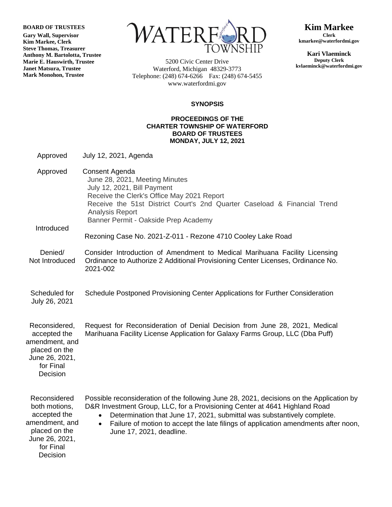**BOARD OF TRUSTEES**

**Gary Wall, Supervisor Kim Markee, Clerk Steve Thomas, Treasurer Anthony M. Bartolotta, Trustee Marie E. Hauswirth, Trustee Janet Matsura, Trustee Mark Monohon, Trustee**



5200 Civic Center Drive Waterford, Michigan 48329-3773 Telephone: (248) 674-6266 Fax: (248) 674-5455 www.waterfordmi.gov

**Kim Markee Clerk kmarkee@waterfordmi.gov**

**Kari Vlaeminck Deputy Clerk kvlaeminck@waterfordmi.gov**

## **SYNOPSIS**

## **PROCEEDINGS OF THE CHARTER TOWNSHIP OF WATERFORD BOARD OF TRUSTEES MONDAY, JULY 12, 2021**

Approved July 12, 2021, Agenda

Approved Introduced Consent Agenda June 28, 2021, Meeting Minutes July 12, 2021, Bill Payment Receive the Clerk's Office May 2021 Report Receive the 51st District Court's 2nd Quarter Caseload & Financial Trend Analysis Report Banner Permit - Oakside Prep Academy

Rezoning Case No. 2021-Z-011 - Rezone 4710 Cooley Lake Road

- Denied/ Not Introduced Consider Introduction of Amendment to Medical Marihuana Facility Licensing Ordinance to Authorize 2 Additional Provisioning Center Licenses, Ordinance No. 2021-002
- Scheduled for July 26, 2021 Schedule Postponed Provisioning Center Applications for Further Consideration
- Reconsidered, accepted the amendment, and placed on the June 26, 2021, for Final Decision Request for Reconsideration of Denial Decision from June 28, 2021, Medical Marihuana Facility License Application for Galaxy Farms Group, LLC (Dba Puff)

Reconsidered both motions, accepted the amendment, and placed on the June 26, 2021, for Final Possible reconsideration of the following June 28, 2021, decisions on the Application by D&R Investment Group, LLC, for a Provisioning Center at 4641 Highland Road Determination that June 17, 2021, submittal was substantively complete. Failure of motion to accept the late filings of application amendments after noon, June 17, 2021, deadline.

**Decision**